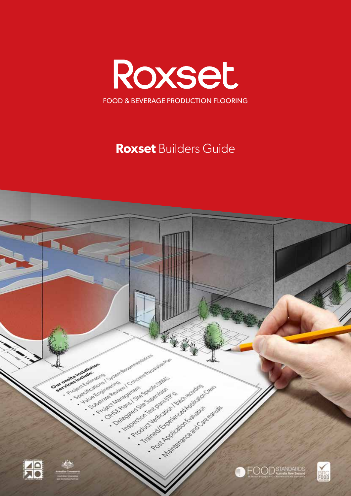

# **Roxset Builders Guide**

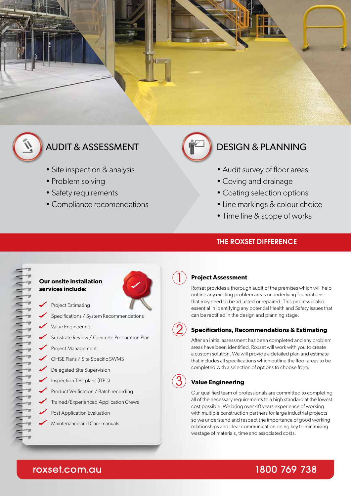

- Site inspection & analysis
- Problem solving
- Safety requirements
- Compliance recomendations

# AUDIT & ASSESSMENT **DESIGN & PLANNING**

- Audit survey of floor areas
- Coving and drainage
- Coating selection options
- Line markings & colour choice
- Time line & scope of works

# THE ROXSET DIFFERENCE

# aaaaaaaaaaaaaaaaaaaaaa

## **Our onsite installation services include:**

- Project Estimating
- Specifications / System Recommendations
- Value Engineering
- Substrate Review / Concrete Preparation Plan
- Project Management
- OHSE Plans / Site Specific SWMS
- Delegated Site Supervision
- Inspection Test plans (ITP's)
- Product Verification / Batch recording
- Trained/Experienced Application Crews
- Post Application Evaluation
- Maintenance and Care manuals



# **Project Assessment**

Roxset provides a thorough audit of the premises which will help outline any existing problem areas or underlying foundations that may need to be adjusted or repaired. This process is also essential in identifying any potential Health and Safety issues that can be rectified in the design and planning stage.

# **Specifications, Recommendations & Estimating**

After an initial assessment has been completed and any problem areas have been identified, Roxset will work with you to create a custom solution. We will provide a detailed plan and estimate that includes all specifications which outline the floor areas to be completed with a selection of options to choose from.

# **Value Engineering**

Our qualified team of professionals are committed to completing all of the necessary requirements to a high standard at the lowest cost possible. We bring over 40 years experience of working with multiple construction partners for large industrial projects so we understand and respect the importance of good working relationships and clear communication being key to minimising wastage of materials, time and associated costs.

# roxset.com.au

# 1800 769 738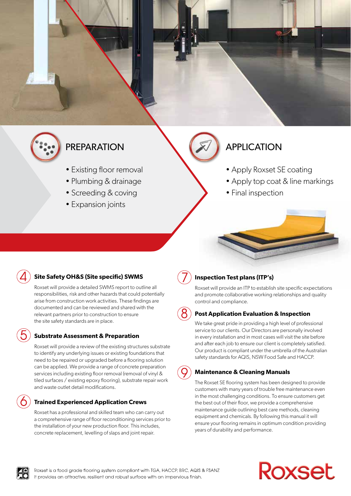

# PREPARATION **APPLICATION**

- Existing floor removal
- Plumbing & drainage
- Screeding & coving
- Expansion joints

- Apply Roxset SE coating
- Apply top coat & line markings
- Final inspection

# **Site Safety OH&S (Site specific) SWMS**

Roxset will provide a detailed SWMS report to outline all responsibilities, risk and other hazards that could potentially arise from construction work activities. These findings are documented and can be reviewed and shared with the relevant partners prior to construction to ensure the site safety standards are in place.

# **Substrate Assessment & Preparation**

Roxset will provide a review of the existing structures substrate to identify any underlying issues or existing foundations that need to be repaired or upgraded before a flooring solution can be applied. We provide a range of concrete preparation services including existing floor removal (removal of vinyl & tiled surfaces / existing epoxy flooring), substrate repair work and waste outlet detail modifications.

# **Trained Experienced Application Crews**

Roxset has a professional and skilled team who can carry out a comprehensive range of floor reconditioning services prior to the installation of your new production floor. This includes, concrete replacement, levelling of slaps and joint repair.

**Inspection Test plans (ITP's)**

Roxset will provide an ITP to establish site specific expectations and promote collaborative working relationships and quality control and compliance.

# **Post Application Evaluation & Inspection**

We take great pride in providing a high level of professional service to our clients. Our Directors are personally involved in every installation and in most cases will visit the site before and after each job to ensure our client is completely satisfied. Our product is compliant under the umbrella of the Australian safety standards for AQIS, NSW Food Safe and HACCP.

# **Maintenance & Cleaning Manuals**

The Roxset SE flooring system has been designed to provide customers with many years of trouble free maintenance even in the most challenging conditions. To ensure customers get the best out of their floor, we provide a comprehensive maintenance guide outlining best care methods, cleaning equipment and chemicals. By following this manual it will ensure your flooring remains in optimum condition providing years of durability and performance.



# Roxset